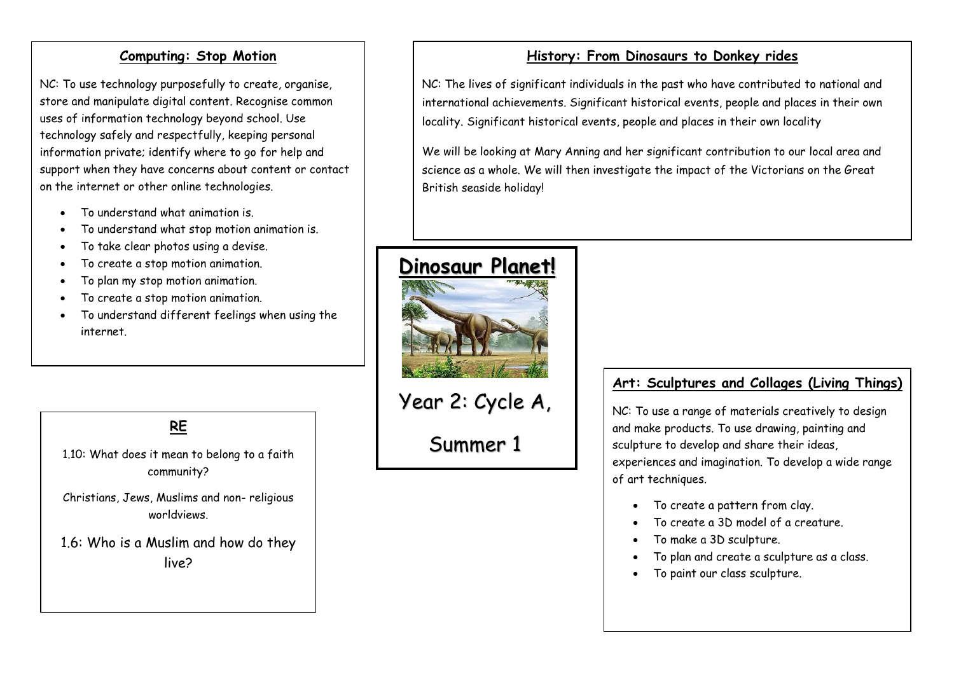#### **Computing: Stop Motion**

NC: To use technology purposefully to create, organise, store and manipulate digital content. Recognise common uses of information technology beyond school. Use technology safely and respectfully, keeping personal information private; identify where to go for help and support when they have concerns about content or contact on the internet or other online technologies.

- To understand what animation is.
- To understand what stop motion animation is.
- To take clear photos using a devise.
- To create a stop motion animation.
- To plan my stop motion animation.
- To create a stop motion animation.
- To understand different feelings when using the internet.

**RE**

1.10: What does it mean to belong to a faith community?

Christians, Jews, Muslims and non- religious worldviews.

1.6: Who is a Muslim and how do they live?

### **History: From Dinosaurs to Donkey rides**

NC: The lives of significant individuals in the past who have contributed to national and international achievements. Significant historical events, people and places in their own locality. Significant historical events, people and places in their own locality

We will be looking at Mary Anning and her significant contribution to our local area and science as a whole. We will then investigate the impact of the Victorians on the Great British seaside holiday!



# Year 2: Cycle A,

Summer 1

#### **Art: Sculptures and Collages (Living Things)**

NC: To use a range of materials creatively to design and make products. To use drawing, painting and sculpture to develop and share their ideas, experiences and imagination. To develop a wide range of art techniques.

- To create a pattern from clay.
- To create a 3D model of a creature.
- To make a 3D sculpture.
- To plan and create a sculpture as a class.
- To paint our class sculpture.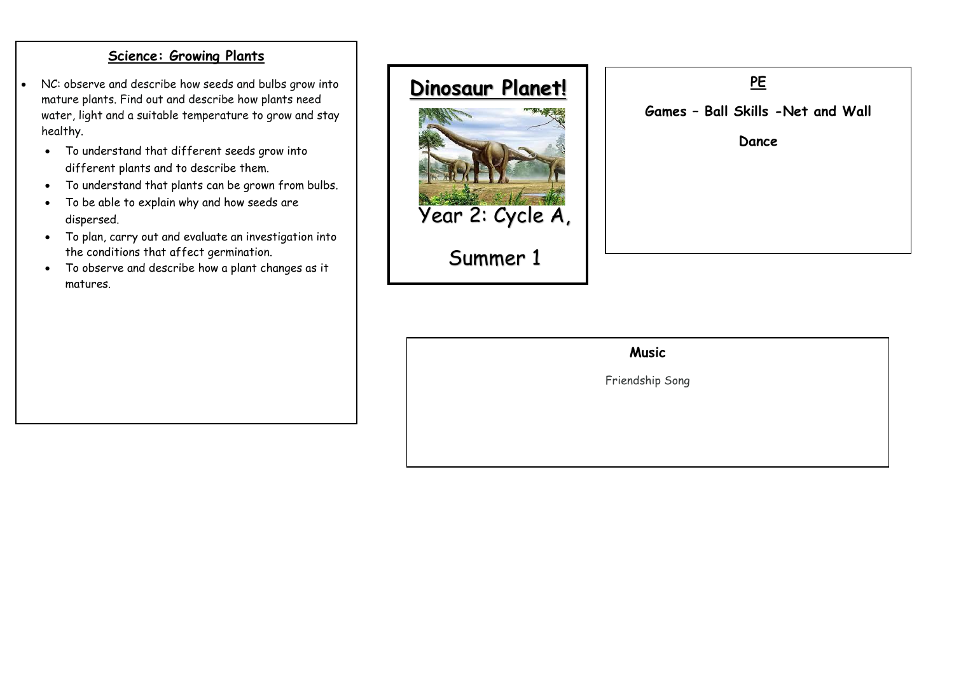#### **Science: Growing Plants**

- NC: observe and describe how seeds and bulbs grow into mature plants. Find out and describe how plants need water, light and a suitable temperature to grow and stay healthy.
	- To understand that different seeds grow into different plants and to describe them.
	- To understand that plants can be grown from bulbs.
	- To be able to explain why and how seeds are dispersed.
	- To plan, carry out and evaluate an investigation into the conditions that affect germination.
	- To observe and describe how a plant changes as it matures.



**PE Games – Ball Skills -Net and Wall Dance** 

## **Music**

Friendship Song